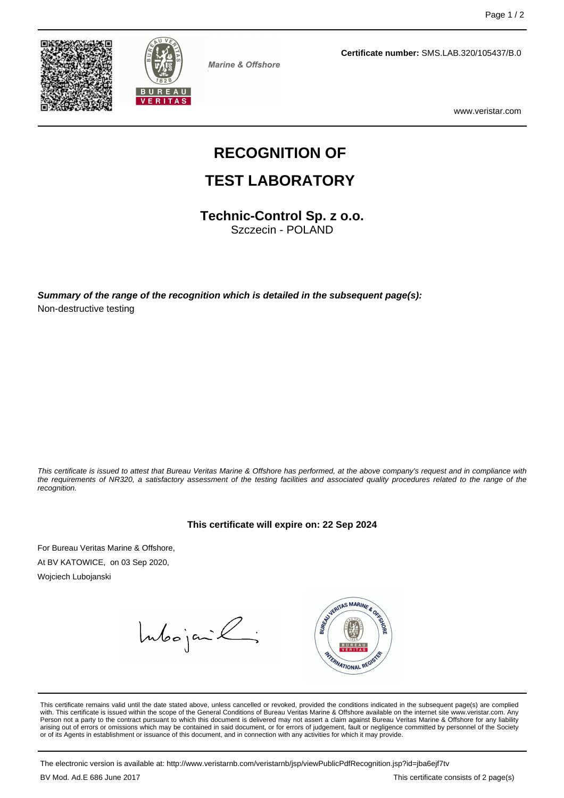



Marine & Offshore

**Certificate number:** SMS.LAB.320/105437/B.0

www.veristar.com

# **RECOGNITION OF**

### **TEST LABORATORY**

**Technic-Control Sp. z o.o.**

Szczecin - POLAND

**Summary of the range of the recognition which is detailed in the subsequent page(s):** Non-destructive testing

This certificate is issued to attest that Bureau Veritas Marine & Offshore has performed, at the above company's request and in compliance with the requirements of NR320, a satisfactory assessment of the testing facilities and associated quality procedures related to the range of the recognition.

#### **This certificate will expire on: 22 Sep 2024**

For Bureau Veritas Marine & Offshore, At BV KATOWICE, on 03 Sep 2020,

Wojciech Lubojanski

Intoojanik;



This certificate remains valid until the date stated above, unless cancelled or revoked, provided the conditions indicated in the subsequent page(s) are complied with. This certificate is issued within the scope of the General Conditions of Bureau Veritas Marine & Offshore available on the internet site www.veristar.com. Any Person not a party to the contract pursuant to which this document is delivered may not assert a claim against Bureau Veritas Marine & Offshore for any liability arising out of errors or omissions which may be contained in said document, or for errors of judgement, fault or negligence committed by personnel of the Society<br>or of its Agents in establishment or issuance of this docume

The electronic version is available at: http://www.veristarnb.com/veristarnb/jsp/viewPublicPdfRecognition.jsp?id=jba6ejf7tv